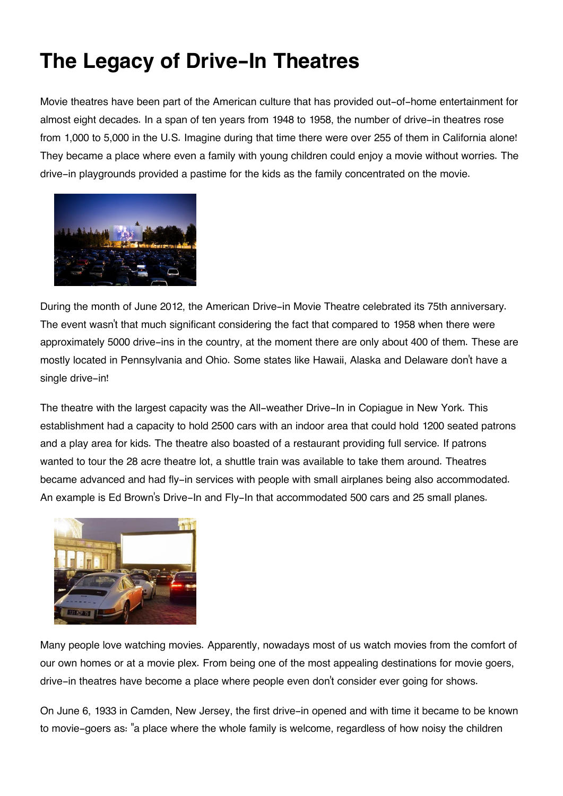## **The Legacy of Drive-In Theatres**

Movie theatres have been part of the American culture that has provided out-of-home entertainment for almost eight decades. In a span of ten years from 1948 to 1958, the number of drive-in theatres rose from 1,000 to 5,000 in the U.S. Imagine during that time there were over 255 of them in California alone! They became a place where even a family with young children could enjoy a movie without worries. The drive-in playgrounds provided a pastime for the kids as the family concentrated on the movie.



During the month of June 2012, the American Drive-in Movie Theatre celebrated its 75th anniversary. The event wasn't that much significant considering the fact that compared to 1958 when there were approximately 5000 drive-ins in the country, at the moment there are only about 400 of them. These are mostly located in Pennsylvania and Ohio. Some states like Hawaii, Alaska and Delaware don't have a single drive-in!

The theatre with the largest capacity was the All-weather Drive-In in Copiague in New York. This establishment had a capacity to hold 2500 cars with an indoor area that could hold 1200 seated patrons and a play area for kids. The theatre also boasted of a restaurant providing full service. If patrons wanted to tour the 28 acre theatre lot, a shuttle train was available to take them around. Theatres became advanced and had fly-in services with people with small airplanes being also accommodated. An example is Ed Brown's Drive-In and Fly-In that accommodated 500 cars and 25 small planes.



Many people love watching movies. Apparently, nowadays most of us watch movies from the comfort of our own homes or at a movie plex. From being one of the most appealing destinations for movie goers, drive-in theatres have become a place where people even don't consider ever going for shows.

On June 6, 1933 in Camden, New Jersey, the first drive-in opened and with time it became to be known to movie-goers as: "a place where the whole family is welcome, regardless of how noisy the children